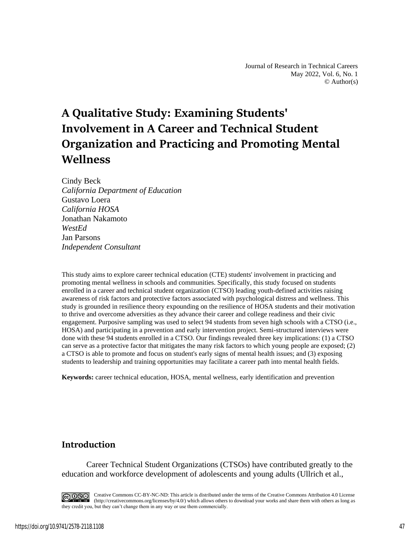# **A Qualitative Study: Examining Students' Involvement in A Career and Technical Student Organization and Practicing and Promoting Mental Wellness**

Cindy Beck *California Department of Education* Gustavo Loera *California HOSA* Jonathan Nakamoto *WestEd* Jan Parsons *Independent Consultant*

This study aims to explore career technical education (CTE) students' involvement in practicing and promoting mental wellness in schools and communities. Specifically, this study focused on students enrolled in a career and technical student organization (CTSO) leading youth-defined activities raising awareness of risk factors and protective factors associated with psychological distress and wellness. This study is grounded in resilience theory expounding on the resilience of HOSA students and their motivation to thrive and overcome adversities as they advance their career and college readiness and their civic engagement. Purposive sampling was used to select 94 students from seven high schools with a CTSO (i.e., HOSA) and participating in a prevention and early intervention project. Semi-structured interviews were done with these 94 students enrolled in a CTSO. Our findings revealed three key implications: (1) a CTSO can serve as a protective factor that mitigates the many risk factors to which young people are exposed; (2) a CTSO is able to promote and focus on student's early signs of mental health issues; and (3) exposing students to leadership and training opportunities may facilitate a career path into mental health fields.

**Keywords:** career technical education, HOSA, mental wellness, early identification and prevention

# **Introduction**

Career Technical Student Organizations (CTSOs) have contributed greatly to the education and workforce development of adolescents and young adults (Ullrich et al.,

CO OSO Creative Commons CC-BY-NC-ND: This article is distributed under the terms of the Creative Commons Attribution 4.0 License (http://creativecommons.org/licenses/by/4.0/) which allows others to download your works and share them with others as long as they credit you, but they can't change them in any way or use them commercially.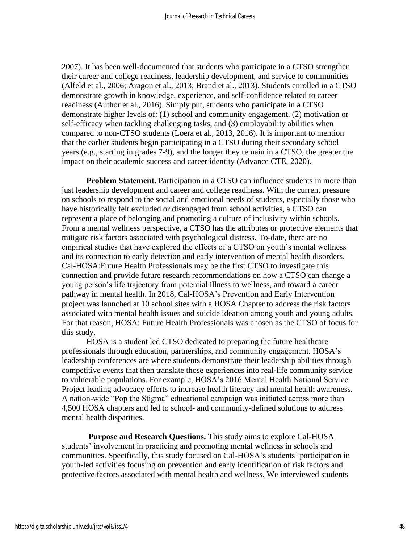2007). It has been well-documented that students who participate in a CTSO strengthen their career and college readiness, leadership development, and service to communities (Alfeld et al., 2006; Aragon et al., 2013; Brand et al., 2013). Students enrolled in a CTSO demonstrate growth in knowledge, experience, and self-confidence related to career readiness (Author et al., 2016). Simply put, students who participate in a CTSO demonstrate higher levels of: (1) school and community engagement, (2) motivation or self-efficacy when tackling challenging tasks, and (3) employability abilities when compared to non-CTSO students (Loera et al., 2013, 2016). It is important to mention that the earlier students begin participating in a CTSO during their secondary school years (e.g., starting in grades 7-9), and the longer they remain in a CTSO, the greater the impact on their academic success and career identity (Advance CTE, 2020).

**Problem Statement.** Participation in a CTSO can influence students in more than just leadership development and career and college readiness. With the current pressure on schools to respond to the social and emotional needs of students, especially those who have historically felt excluded or disengaged from school activities, a CTSO can represent a place of belonging and promoting a culture of inclusivity within schools. From a mental wellness perspective, a CTSO has the attributes or protective elements that mitigate risk factors associated with psychological distress. To-date, there are no empirical studies that have explored the effects of a CTSO on youth's mental wellness and its connection to early detection and early intervention of mental health disorders. Cal-HOSA:Future Health Professionals may be the first CTSO to investigate this connection and provide future research recommendations on how a CTSO can change a young person's life trajectory from potential illness to wellness, and toward a career pathway in mental health. In 2018, Cal-HOSA's Prevention and Early Intervention project was launched at 10 school sites with a HOSA Chapter to address the risk factors associated with mental health issues and suicide ideation among youth and young adults. For that reason, HOSA: Future Health Professionals was chosen as the CTSO of focus for this study.

HOSA is a student led CTSO dedicated to preparing the future healthcare professionals through education, partnerships, and community engagement. HOSA's leadership conferences are where students demonstrate their leadership abilities through competitive events that then translate those experiences into real-life community service to vulnerable populations. For example, HOSA's 2016 Mental Health National Service Project leading advocacy efforts to increase health literacy and mental health awareness. A nation-wide "Pop the Stigma" educational campaign was initiated across more than 4,500 HOSA chapters and led to school- and community-defined solutions to address mental health disparities.

**Purpose and Research Questions.** This study aims to explore Cal-HOSA students' involvement in practicing and promoting mental wellness in schools and communities. Specifically, this study focused on Cal-HOSA's students' participation in youth-led activities focusing on prevention and early identification of risk factors and protective factors associated with mental health and wellness. We interviewed students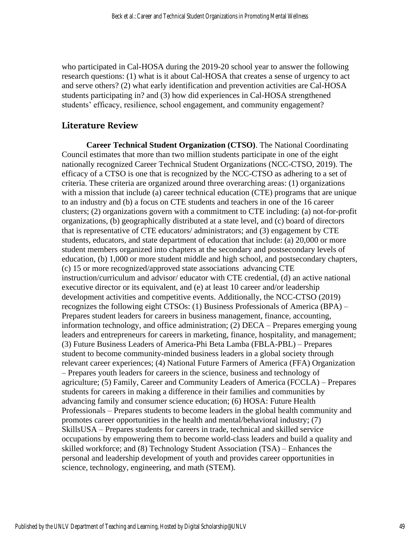who participated in Cal-HOSA during the 2019-20 school year to answer the following research questions: (1) what is it about Cal-HOSA that creates a sense of urgency to act and serve others? (2) what early identification and prevention activities are Cal-HOSA students participating in? and (3) how did experiences in Cal-HOSA strengthened students' efficacy, resilience, school engagement, and community engagement?

## **Literature Review**

**Career Technical Student Organization (CTSO)**. The National Coordinating Council estimates that more than two million students participate in one of the eight nationally recognized Career Technical Student Organizations (NCC-CTSO, 2019). The efficacy of a CTSO is one that is recognized by the NCC-CTSO as adhering to a set of criteria. These criteria are organized around three overarching areas: (1) organizations with a mission that include (a) career technical education (CTE) programs that are unique to an industry and (b) a focus on CTE students and teachers in one of the 16 career clusters; (2) organizations govern with a commitment to CTE including: (a) not-for-profit organizations, (b) geographically distributed at a state level, and (c) board of directors that is representative of CTE educators/ administrators; and (3) engagement by CTE students, educators, and state department of education that include: (a) 20,000 or more student members organized into chapters at the secondary and postsecondary levels of education, (b) 1,000 or more student middle and high school, and postsecondary chapters, (c) 15 or more recognized/approved state associations advancing CTE instruction/curriculum and advisor/ educator with CTE credential, (d) an active national executive director or its equivalent, and (e) at least 10 career and/or leadership development activities and competitive events. Additionally, the NCC-CTSO (2019) recognizes the following eight CTSOs: (1) Business Professionals of America (BPA) – Prepares student leaders for careers in business management, finance, accounting, information technology, and office administration; (2) DECA – Prepares emerging young leaders and entrepreneurs for careers in marketing, finance, hospitality, and management; (3) Future Business Leaders of America-Phi Beta Lamba (FBLA-PBL) – Prepares student to become community-minded business leaders in a global society through relevant career experiences; (4) National Future Farmers of America (FFA) Organization – Prepares youth leaders for careers in the science, business and technology of agriculture; (5) Family, Career and Community Leaders of America (FCCLA) – Prepares students for careers in making a difference in their families and communities by advancing family and consumer science education; (6) HOSA: Future Health Professionals – Prepares students to become leaders in the global health community and promotes career opportunities in the health and mental/behavioral industry; (7) SkillsUSA – Prepares students for careers in trade, technical and skilled service occupations by empowering them to become world-class leaders and build a quality and skilled workforce; and (8) Technology Student Association (TSA) – Enhances the personal and leadership development of youth and provides career opportunities in science, technology, engineering, and math (STEM).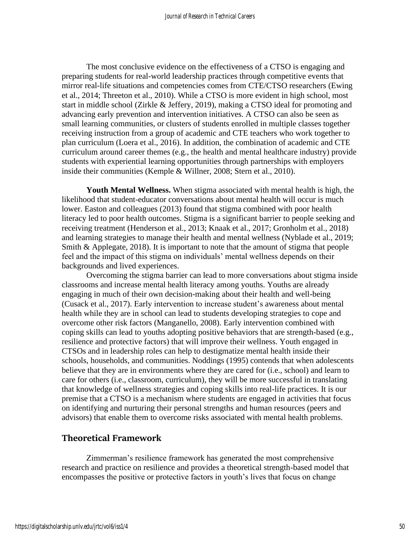The most conclusive evidence on the effectiveness of a CTSO is engaging and preparing students for real-world leadership practices through competitive events that mirror real-life situations and competencies comes from CTE/CTSO researchers (Ewing et al., 2014; Threeton et al., 2010). While a CTSO is more evident in high school, most start in middle school (Zirkle & Jeffery, 2019), making a CTSO ideal for promoting and advancing early prevention and intervention initiatives. A CTSO can also be seen as small learning communities, or clusters of students enrolled in multiple classes together receiving instruction from a group of academic and CTE teachers who work together to plan curriculum (Loera et al., 2016). In addition, the combination of academic and CTE curriculum around career themes (e.g., the health and mental healthcare industry) provide students with experiential learning opportunities through partnerships with employers inside their communities (Kemple & Willner, 2008; Stern et al., 2010).

**Youth Mental Wellness.** When stigma associated with mental health is high, the likelihood that student-educator conversations about mental health will occur is much lower. Easton and colleagues (2013) found that stigma combined with poor health literacy led to poor health outcomes. Stigma is a significant barrier to people seeking and receiving treatment (Henderson et al., 2013; Knaak et al., 2017; Gronholm et al., 2018) and learning strategies to manage their health and mental wellness (Nyblade et al., 2019; Smith & Applegate, 2018). It is important to note that the amount of stigma that people feel and the impact of this stigma on individuals' mental wellness depends on their backgrounds and lived experiences.

Overcoming the stigma barrier can lead to more conversations about stigma inside classrooms and increase mental health literacy among youths. Youths are already engaging in much of their own decision-making about their health and well-being (Cusack et al., 2017). Early intervention to increase student's awareness about mental health while they are in school can lead to students developing strategies to cope and overcome other risk factors (Manganello, 2008). Early intervention combined with coping skills can lead to youths adopting positive behaviors that are strength-based (e.g., resilience and protective factors) that will improve their wellness. Youth engaged in CTSOs and in leadership roles can help to destigmatize mental health inside their schools, households, and communities. Noddings (1995) contends that when adolescents believe that they are in environments where they are cared for (i.e., school) and learn to care for others (i.e., classroom, curriculum), they will be more successful in translating that knowledge of wellness strategies and coping skills into real-life practices. It is our premise that a CTSO is a mechanism where students are engaged in activities that focus on identifying and nurturing their personal strengths and human resources (peers and advisors) that enable them to overcome risks associated with mental health problems.

# **Theoretical Framework**

Zimmerman's resilience framework has generated the most comprehensive research and practice on resilience and provides a theoretical strength-based model that encompasses the positive or protective factors in youth's lives that focus on change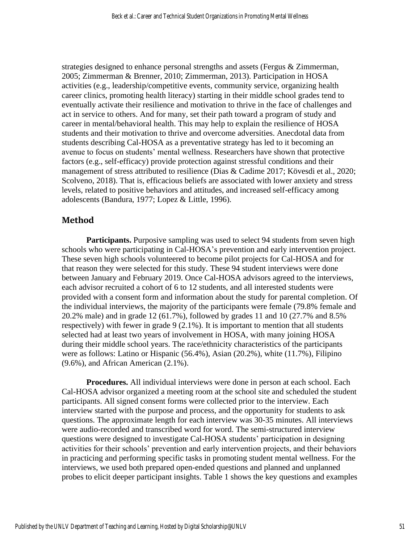strategies designed to enhance personal strengths and assets (Fergus & Zimmerman, 2005; Zimmerman & Brenner, 2010; Zimmerman, 2013). Participation in HOSA activities (e.g., leadership/competitive events, community service, organizing health career clinics, promoting health literacy) starting in their middle school grades tend to eventually activate their resilience and motivation to thrive in the face of challenges and act in service to others. And for many, set their path toward a program of study and career in mental/behavioral health. This may help to explain the resilience of HOSA students and their motivation to thrive and overcome adversities. Anecdotal data from students describing Cal-HOSA as a preventative strategy has led to it becoming an avenue to focus on students' mental wellness. Researchers have shown that protective factors (e.g., self-efficacy) provide protection against stressful conditions and their management of stress attributed to resilience (Dias & Cadime 2017; Kövesdi et al., 2020; Scolveno, 2018). That is, efficacious beliefs are associated with lower anxiety and stress levels, related to positive behaviors and attitudes, and increased self-efficacy among adolescents (Bandura, 1977; Lopez & Little, 1996).

## **Method**

**Participants.** Purposive sampling was used to select 94 students from seven high schools who were participating in Cal-HOSA's prevention and early intervention project. These seven high schools volunteered to become pilot projects for Cal-HOSA and for that reason they were selected for this study. These 94 student interviews were done between January and February 2019. Once Cal-HOSA advisors agreed to the interviews, each advisor recruited a cohort of 6 to 12 students, and all interested students were provided with a consent form and information about the study for parental completion. Of the individual interviews, the majority of the participants were female (79.8% female and 20.2% male) and in grade 12 (61.7%), followed by grades 11 and 10 (27.7% and 8.5% respectively) with fewer in grade 9 (2.1%). It is important to mention that all students selected had at least two years of involvement in HOSA, with many joining HOSA during their middle school years. The race/ethnicity characteristics of the participants were as follows: Latino or Hispanic (56.4%), Asian (20.2%), white (11.7%), Filipino (9.6%), and African American (2.1%).

**Procedures.** All individual interviews were done in person at each school. Each Cal-HOSA advisor organized a meeting room at the school site and scheduled the student participants. All signed consent forms were collected prior to the interview. Each interview started with the purpose and process, and the opportunity for students to ask questions. The approximate length for each interview was 30-35 minutes. All interviews were audio-recorded and transcribed word for word. The semi-structured interview questions were designed to investigate Cal-HOSA students' participation in designing activities for their schools' prevention and early intervention projects, and their behaviors in practicing and performing specific tasks in promoting student mental wellness. For the interviews, we used both prepared open-ended questions and planned and unplanned probes to elicit deeper participant insights. Table 1 shows the key questions and examples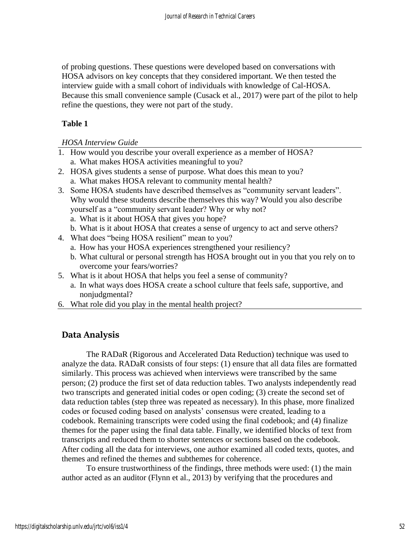of probing questions. These questions were developed based on conversations with HOSA advisors on key concepts that they considered important. We then tested the interview guide with a small cohort of individuals with knowledge of Cal-HOSA. Because this small convenience sample (Cusack et al., 2017) were part of the pilot to help refine the questions, they were not part of the study.

## **Table 1**

#### *HOSA Interview Guide*

- 1. How would you describe your overall experience as a member of HOSA? a. What makes HOSA activities meaningful to you?
- 2. HOSA gives students a sense of purpose. What does this mean to you? a. What makes HOSA relevant to community mental health?
- 3. Some HOSA students have described themselves as "community servant leaders". Why would these students describe themselves this way? Would you also describe yourself as a "community servant leader? Why or why not?
	- a. What is it about HOSA that gives you hope?
	- b. What is it about HOSA that creates a sense of urgency to act and serve others?
- 4. What does "being HOSA resilient" mean to you?
	- a. How has your HOSA experiences strengthened your resiliency?
	- b. What cultural or personal strength has HOSA brought out in you that you rely on to overcome your fears/worries?
- 5. What is it about HOSA that helps you feel a sense of community?
	- a. In what ways does HOSA create a school culture that feels safe, supportive, and nonjudgmental?
- 6. What role did you play in the mental health project?

# **Data Analysis**

The RADaR (Rigorous and Accelerated Data Reduction) technique was used to analyze the data. RADaR consists of four steps: (1) ensure that all data files are formatted similarly. This process was achieved when interviews were transcribed by the same person; (2) produce the first set of data reduction tables. Two analysts independently read two transcripts and generated initial codes or open coding; (3) create the second set of data reduction tables (step three was repeated as necessary). In this phase, more finalized codes or focused coding based on analysts' consensus were created, leading to a codebook. Remaining transcripts were coded using the final codebook; and (4) finalize themes for the paper using the final data table. Finally, we identified blocks of text from transcripts and reduced them to shorter sentences or sections based on the codebook. After coding all the data for interviews, one author examined all coded texts, quotes, and themes and refined the themes and subthemes for coherence.

To ensure trustworthiness of the findings, three methods were used: (1) the main author acted as an auditor (Flynn et al., 2013) by verifying that the procedures and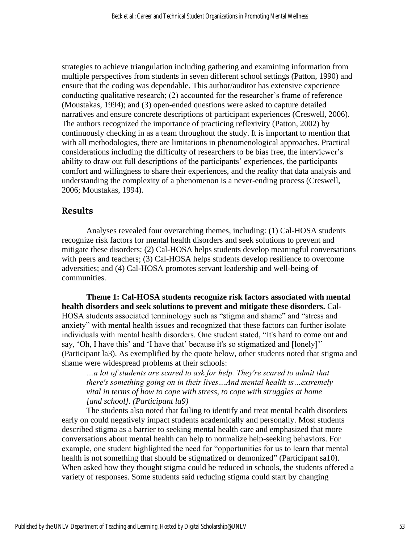strategies to achieve triangulation including gathering and examining information from multiple perspectives from students in seven different school settings (Patton, 1990) and ensure that the coding was dependable. This author/auditor has extensive experience conducting qualitative research; (2) accounted for the researcher's frame of reference (Moustakas, 1994); and (3) open-ended questions were asked to capture detailed narratives and ensure concrete descriptions of participant experiences (Creswell, 2006). The authors recognized the importance of practicing reflexivity (Patton, 2002) by continuously checking in as a team throughout the study. It is important to mention that with all methodologies, there are limitations in phenomenological approaches. Practical considerations including the difficulty of researchers to be bias free, the interviewer's ability to draw out full descriptions of the participants' experiences, the participants comfort and willingness to share their experiences, and the reality that data analysis and understanding the complexity of a phenomenon is a never-ending process (Creswell, 2006; Moustakas, 1994).

#### **Results**

Analyses revealed four overarching themes, including: (1) Cal-HOSA students recognize risk factors for mental health disorders and seek solutions to prevent and mitigate these disorders; (2) Cal-HOSA helps students develop meaningful conversations with peers and teachers; (3) Cal-HOSA helps students develop resilience to overcome adversities; and (4) Cal-HOSA promotes servant leadership and well-being of communities.

**Theme 1: Cal-HOSA students recognize risk factors associated with mental health disorders and seek solutions to prevent and mitigate these disorders.** Cal-HOSA students associated terminology such as "stigma and shame" and "stress and anxiety" with mental health issues and recognized that these factors can further isolate individuals with mental health disorders. One student stated, "It's hard to come out and say, 'Oh, I have this' and 'I have that' because it's so stigmatized and [lonely]'' (Participant la3). As exemplified by the quote below, other students noted that stigma and shame were widespread problems at their schools:

*…a lot of students are scared to ask for help. They're scared to admit that there's something going on in their lives…And mental health is…extremely vital in terms of how to cope with stress, to cope with struggles at home [and school]. (Participant la9)*

The students also noted that failing to identify and treat mental health disorders early on could negatively impact students academically and personally. Most students described stigma as a barrier to seeking mental health care and emphasized that more conversations about mental health can help to normalize help-seeking behaviors. For example, one student highlighted the need for "opportunities for us to learn that mental health is not something that should be stigmatized or demonized" (Participant sa10). When asked how they thought stigma could be reduced in schools, the students offered a variety of responses. Some students said reducing stigma could start by changing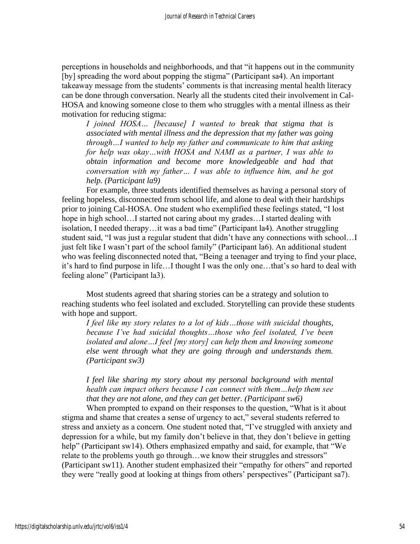perceptions in households and neighborhoods, and that "it happens out in the community [by] spreading the word about popping the stigma" (Participant sa4). An important takeaway message from the students' comments is that increasing mental health literacy can be done through conversation. Nearly all the students cited their involvement in Cal-HOSA and knowing someone close to them who struggles with a mental illness as their motivation for reducing stigma:

*I joined HOSA… [because] I wanted to break that stigma that is associated with mental illness and the depression that my father was going through…I wanted to help my father and communicate to him that asking for help was okay…with HOSA and NAMI as a partner, I was able to obtain information and become more knowledgeable and had that conversation with my father… I was able to influence him, and he got help. (Participant la9)*

For example, three students identified themselves as having a personal story of feeling hopeless, disconnected from school life, and alone to deal with their hardships prior to joining Cal-HOSA. One student who exemplified these feelings stated, "I lost hope in high school…I started not caring about my grades…I started dealing with isolation, I needed therapy…it was a bad time" (Participant la4). Another struggling student said, "I was just a regular student that didn't have any connections with school…I just felt like I wasn't part of the school family" (Participant la6). An additional student who was feeling disconnected noted that, "Being a teenager and trying to find your place, it's hard to find purpose in life…I thought I was the only one…that's so hard to deal with feeling alone" (Participant la3).

Most students agreed that sharing stories can be a strategy and solution to reaching students who feel isolated and excluded. Storytelling can provide these students with hope and support.

*I feel like my story relates to a lot of kids…those with suicidal thoughts, because I've had suicidal thoughts…those who feel isolated, I've been isolated and alone…I feel [my story] can help them and knowing someone else went through what they are going through and understands them. (Participant sw3)*

## *I feel like sharing my story about my personal background with mental health can impact others because I can connect with them…help them see that they are not alone, and they can get better. (Participant sw6)*

When prompted to expand on their responses to the question, "What is it about stigma and shame that creates a sense of urgency to act," several students referred to stress and anxiety as a concern. One student noted that, "I've struggled with anxiety and depression for a while, but my family don't believe in that, they don't believe in getting help" (Participant sw14). Others emphasized empathy and said, for example, that "We relate to the problems youth go through…we know their struggles and stressors" (Participant sw11). Another student emphasized their "empathy for others" and reported they were "really good at looking at things from others' perspectives" (Participant sa7).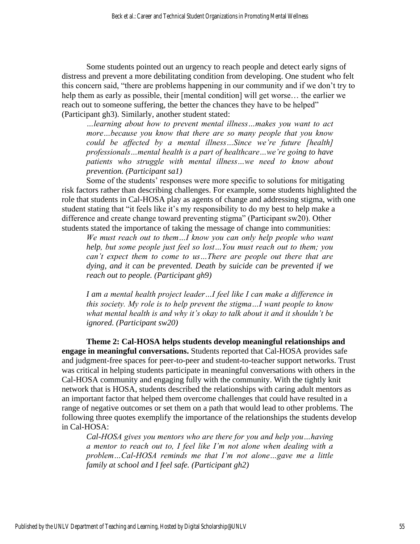Some students pointed out an urgency to reach people and detect early signs of distress and prevent a more debilitating condition from developing. One student who felt this concern said, "there are problems happening in our community and if we don't try to help them as early as possible, their [mental condition] will get worse… the earlier we reach out to someone suffering, the better the chances they have to be helped" (Participant gh3). Similarly, another student stated:

*…learning about how to prevent mental illness…makes you want to act more…because you know that there are so many people that you know could be affected by a mental illness…Since we're future [health] professionals…mental health is a part of healthcare…we're going to have patients who struggle with mental illness…we need to know about prevention. (Participant sa1)*

Some of the students' responses were more specific to solutions for mitigating risk factors rather than describing challenges. For example, some students highlighted the role that students in Cal-HOSA play as agents of change and addressing stigma, with one student stating that "it feels like it's my responsibility to do my best to help make a difference and create change toward preventing stigma" (Participant sw20). Other students stated the importance of taking the message of change into communities:

*We must reach out to them…I know you can only help people who want help, but some people just feel so lost…You must reach out to them; you can't expect them to come to us…There are people out there that are dying, and it can be prevented. Death by suicide can be prevented if we reach out to people. (Participant gh9)* 

*I am a mental health project leader…I feel like I can make a difference in this society. My role is to help prevent the stigma…I want people to know what mental health is and why it's okay to talk about it and it shouldn't be ignored. (Participant sw20)* 

**Theme 2: Cal-HOSA helps students develop meaningful relationships and engage in meaningful conversations.** Students reported that Cal-HOSA provides safe and judgment-free spaces for peer-to-peer and student-to-teacher support networks. Trust was critical in helping students participate in meaningful conversations with others in the Cal-HOSA community and engaging fully with the community. With the tightly knit network that is HOSA, students described the relationships with caring adult mentors as an important factor that helped them overcome challenges that could have resulted in a range of negative outcomes or set them on a path that would lead to other problems. The following three quotes exemplify the importance of the relationships the students develop in Cal-HOSA:

*Cal-HOSA gives you mentors who are there for you and help you…having a mentor to reach out to, I feel like I'm not alone when dealing with a problem…Cal-HOSA reminds me that I'm not alone…gave me a little family at school and I feel safe. (Participant gh2)*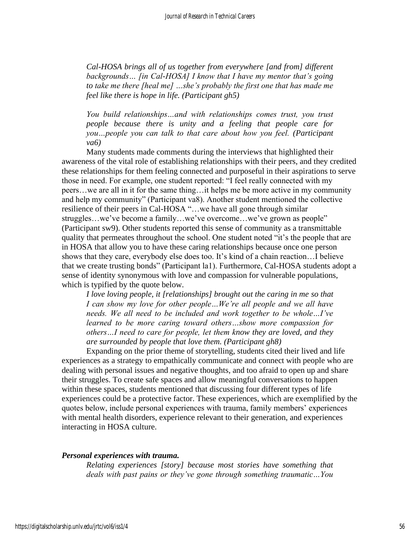*Cal-HOSA brings all of us together from everywhere [and from] different backgrounds… [in Cal-HOSA] I know that I have my mentor that's going to take me there [heal me] …she's probably the first one that has made me feel like there is hope in life. (Participant gh5)* 

*You build relationships…and with relationships comes trust, you trust people because there is unity and a feeling that people care for you…people you can talk to that care about how you feel. (Participant va6)*

Many students made comments during the interviews that highlighted their awareness of the vital role of establishing relationships with their peers, and they credited these relationships for them feeling connected and purposeful in their aspirations to serve those in need. For example, one student reported: "I feel really connected with my peers…we are all in it for the same thing…it helps me be more active in my community and help my community" (Participant va8). Another student mentioned the collective resilience of their peers in Cal-HOSA "…we have all gone through similar struggles…we've become a family…we've overcome…we've grown as people" (Participant sw9). Other students reported this sense of community as a transmittable quality that permeates throughout the school. One student noted "it's the people that are in HOSA that allow you to have these caring relationships because once one person shows that they care, everybody else does too. It's kind of a chain reaction…I believe that we create trusting bonds" (Participant la1). Furthermore, Cal-HOSA students adopt a sense of identity synonymous with love and compassion for vulnerable populations, which is typified by the quote below.

*I love loving people, it [relationships] brought out the caring in me so that I can show my love for other people…We're all people and we all have needs. We all need to be included and work together to be whole…I've learned to be more caring toward others…show more compassion for others…I need to care for people, let them know they are loved, and they are surrounded by people that love them. (Participant gh8)* 

Expanding on the prior theme of storytelling, students cited their lived and life experiences as a strategy to empathically communicate and connect with people who are dealing with personal issues and negative thoughts, and too afraid to open up and share their struggles. To create safe spaces and allow meaningful conversations to happen within these spaces, students mentioned that discussing four different types of life experiences could be a protective factor. These experiences, which are exemplified by the quotes below, include personal experiences with trauma, family members' experiences with mental health disorders, experience relevant to their generation, and experiences interacting in HOSA culture.

#### *Personal experiences with trauma.*

*Relating experiences [story] because most stories have something that deals with past pains or they've gone through something traumatic…You*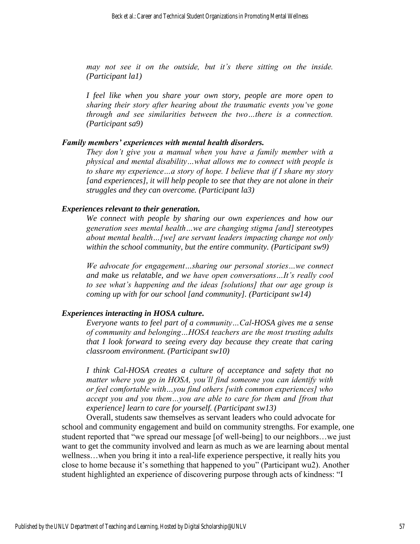*may not see it on the outside, but it's there sitting on the inside. (Participant la1)* 

*I feel like when you share your own story, people are more open to sharing their story after hearing about the traumatic events you've gone through and see similarities between the two…there is a connection. (Participant sa9)* 

#### *Family members' experiences with mental health disorders.*

*They don't give you a manual when you have a family member with a physical and mental disability…what allows me to connect with people is to share my experience…a story of hope. I believe that if I share my story [and experiences], it will help people to see that they are not alone in their struggles and they can overcome. (Participant la3)*

#### *Experiences relevant to their generation.*

*We connect with people by sharing our own experiences and how our generation sees mental health…we are changing stigma [and] stereotypes about mental health…[we] are servant leaders impacting change not only within the school community, but the entire community. (Participant sw9)*

*We advocate for engagement…sharing our personal stories…we connect and make us relatable, and we have open conversations…It's really cool to see what's happening and the ideas [solutions] that our age group is coming up with for our school [and community]. (Participant sw14)*

#### *Experiences interacting in HOSA culture.*

*Everyone wants to feel part of a community…Cal-HOSA gives me a sense of community and belonging…HOSA teachers are the most trusting adults that I look forward to seeing every day because they create that caring classroom environment. (Participant sw10)*

*I think Cal-HOSA creates a culture of acceptance and safety that no matter where you go in HOSA, you'll find someone you can identify with or feel comfortable with…you find others [with common experiences] who accept you and you them…you are able to care for them and [from that experience] learn to care for yourself. (Participant sw13)*

Overall, students saw themselves as servant leaders who could advocate for school and community engagement and build on community strengths. For example, one student reported that "we spread our message [of well-being] to our neighbors…we just want to get the community involved and learn as much as we are learning about mental wellness…when you bring it into a real-life experience perspective, it really hits you close to home because it's something that happened to you" (Participant wu2). Another student highlighted an experience of discovering purpose through acts of kindness: "I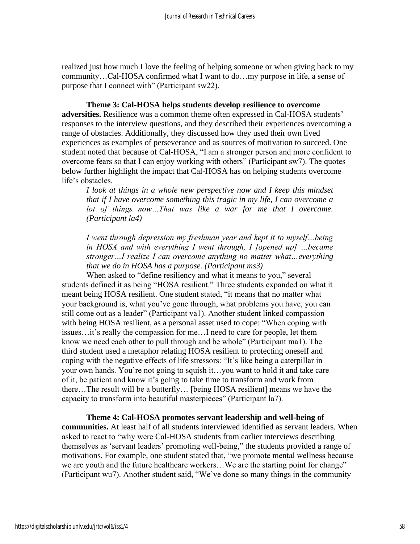realized just how much I love the feeling of helping someone or when giving back to my community…Cal-HOSA confirmed what I want to do…my purpose in life, a sense of purpose that I connect with" (Participant sw22).

**Theme 3: Cal-HOSA helps students develop resilience to overcome adversities.** Resilience was a common theme often expressed in Cal-HOSA students' responses to the interview questions, and they described their experiences overcoming a range of obstacles. Additionally, they discussed how they used their own lived experiences as examples of perseverance and as sources of motivation to succeed. One student noted that because of Cal-HOSA, "I am a stronger person and more confident to overcome fears so that I can enjoy working with others" (Participant sw7). The quotes below further highlight the impact that Cal-HOSA has on helping students overcome life's obstacles.

*I look at things in a whole new perspective now and I keep this mindset that if I have overcome something this tragic in my life, I can overcome a*  lot of things now...That was like a war for me that I overcame. *(Participant la4)*

*I went through depression my freshman year and kept it to myself…being in HOSA and with everything I went through, I [opened up] …became stronger…I realize I can overcome anything no matter what…everything that we do in HOSA has a purpose. (Participant ms3)*

When asked to "define resiliency and what it means to you," several students defined it as being "HOSA resilient." Three students expanded on what it meant being HOSA resilient. One student stated, "it means that no matter what your background is, what you've gone through, what problems you have, you can still come out as a leader" (Participant va1). Another student linked compassion with being HOSA resilient, as a personal asset used to cope: "When coping with issues…it's really the compassion for me…I need to care for people, let them know we need each other to pull through and be whole" (Participant ma1). The third student used a metaphor relating HOSA resilient to protecting oneself and coping with the negative effects of life stressors: "It's like being a caterpillar in your own hands. You're not going to squish it…you want to hold it and take care of it, be patient and know it's going to take time to transform and work from there…The result will be a butterfly… [being HOSA resilient] means we have the capacity to transform into beautiful masterpieces" (Participant la7).

**Theme 4: Cal-HOSA promotes servant leadership and well-being of communities.** At least half of all students interviewed identified as servant leaders. When asked to react to "why were Cal-HOSA students from earlier interviews describing themselves as 'servant leaders' promoting well-being," the students provided a range of motivations. For example, one student stated that, "we promote mental wellness because we are youth and the future healthcare workers...We are the starting point for change" (Participant wu7). Another student said, "We've done so many things in the community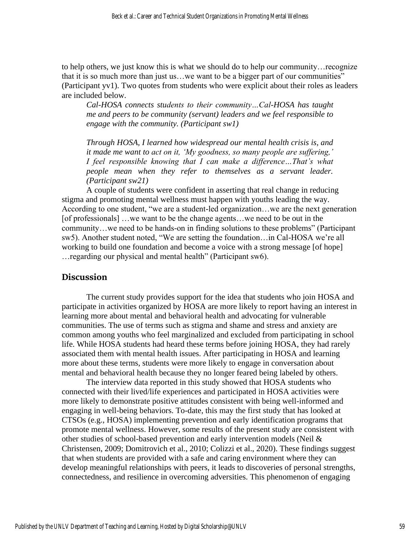to help others, we just know this is what we should do to help our community…recognize that it is so much more than just us…we want to be a bigger part of our communities" (Participant yv1). Two quotes from students who were explicit about their roles as leaders are included below.

*Cal-HOSA connects students to their community…Cal-HOSA has taught me and peers to be community (servant) leaders and we feel responsible to engage with the community. (Participant sw1)* 

*Through HOSA, I learned how widespread our mental health crisis is, and it made me want to act on it, 'My goodness, so many people are suffering,' I feel responsible knowing that I can make a difference...That's what people mean when they refer to themselves as a servant leader. (Participant sw21)*

A couple of students were confident in asserting that real change in reducing stigma and promoting mental wellness must happen with youths leading the way. According to one student, "we are a student-led organization…we are the next generation [of professionals] …we want to be the change agents…we need to be out in the community…we need to be hands-on in finding solutions to these problems" (Participant sw5). Another student noted, "We are setting the foundation…in Cal-HOSA we're all working to build one foundation and become a voice with a strong message [of hope] …regarding our physical and mental health" (Participant sw6).

#### **Discussion**

The current study provides support for the idea that students who join HOSA and participate in activities organized by HOSA are more likely to report having an interest in learning more about mental and behavioral health and advocating for vulnerable communities. The use of terms such as stigma and shame and stress and anxiety are common among youths who feel marginalized and excluded from participating in school life. While HOSA students had heard these terms before joining HOSA, they had rarely associated them with mental health issues. After participating in HOSA and learning more about these terms, students were more likely to engage in conversation about mental and behavioral health because they no longer feared being labeled by others.

The interview data reported in this study showed that HOSA students who connected with their lived/life experiences and participated in HOSA activities were more likely to demonstrate positive attitudes consistent with being well-informed and engaging in well-being behaviors. To-date, this may the first study that has looked at CTSOs (e.g., HOSA) implementing prevention and early identification programs that promote mental wellness. However, some results of the present study are consistent with other studies of school-based prevention and early intervention models (Neil & Christensen, 2009; Domitrovich et al., 2010; Colizzi et al., 2020). These findings suggest that when students are provided with a safe and caring environment where they can develop meaningful relationships with peers, it leads to discoveries of personal strengths, connectedness, and resilience in overcoming adversities. This phenomenon of engaging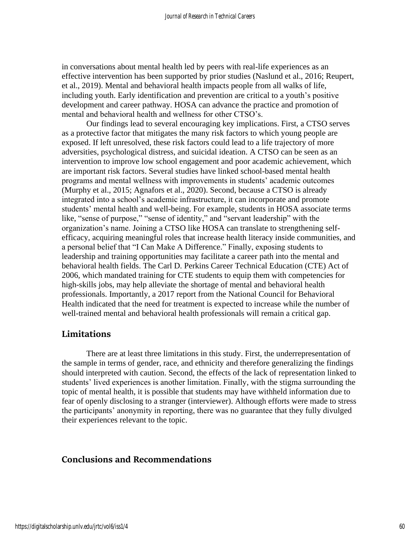in conversations about mental health led by peers with real-life experiences as an effective intervention has been supported by prior studies (Naslund et al., 2016; Reupert, et al., 2019). Mental and behavioral health impacts people from all walks of life, including youth. Early identification and prevention are critical to a youth's positive development and career pathway. HOSA can advance the practice and promotion of mental and behavioral health and wellness for other CTSO's.

Our findings lead to several encouraging key implications. First, a CTSO serves as a protective factor that mitigates the many risk factors to which young people are exposed. If left unresolved, these risk factors could lead to a life trajectory of more adversities, psychological distress, and suicidal ideation. A CTSO can be seen as an intervention to improve low school engagement and poor academic achievement, which are important risk factors. Several studies have linked school-based mental health programs and mental wellness with improvements in students' academic outcomes (Murphy et al., 2015; Agnafors et al., 2020). Second, because a CTSO is already integrated into a school's academic infrastructure, it can incorporate and promote students' mental health and well-being. For example, students in HOSA associate terms like, "sense of purpose," "sense of identity," and "servant leadership" with the organization's name. Joining a CTSO like HOSA can translate to strengthening selfefficacy, acquiring meaningful roles that increase health literacy inside communities, and a personal belief that "I Can Make A Difference." Finally, exposing students to leadership and training opportunities may facilitate a career path into the mental and behavioral health fields. The Carl D. Perkins Career Technical Education (CTE) Act of 2006, which mandated training for CTE students to equip them with competencies for high-skills jobs, may help alleviate the shortage of mental and behavioral health professionals. Importantly, a 2017 report from the National Council for Behavioral Health indicated that the need for treatment is expected to increase while the number of well-trained mental and behavioral health professionals will remain a critical gap.

#### **Limitations**

There are at least three limitations in this study. First, the underrepresentation of the sample in terms of gender, race, and ethnicity and therefore generalizing the findings should interpreted with caution. Second, the effects of the lack of representation linked to students' lived experiences is another limitation. Finally, with the stigma surrounding the topic of mental health, it is possible that students may have withheld information due to fear of openly disclosing to a stranger (interviewer). Although efforts were made to stress the participants' anonymity in reporting, there was no guarantee that they fully divulged their experiences relevant to the topic.

# **Conclusions and Recommendations**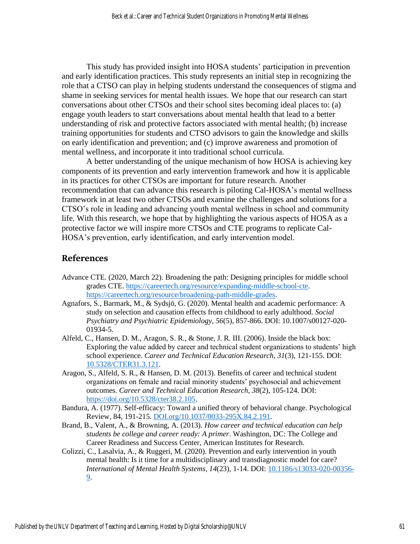This study has provided insight into HOSA students' participation in prevention and early identification practices. This study represents an initial step in recognizing the role that a CTSO can play in helping students understand the consequences of stigma and shame in seeking services for mental health issues. We hope that our research can start conversations about other CTSOs and their school sites becoming ideal places to: (a) engage youth leaders to start conversations about mental health that lead to a better understanding of risk and protective factors associated with mental health; (b) increase training opportunities for students and CTSO advisors to gain the knowledge and skills on early identification and prevention; and (c) improve awareness and promotion of mental wellness, and incorporate it into traditional school curricula.

A better understanding of the unique mechanism of how HOSA is achieving key components of its prevention and early intervention framework and how it is applicable in its practices for other CTSOs are important for future research. Another recommendation that can advance this research is piloting Cal-HOSA's mental wellness framework in at least two other CTSOs and examine the challenges and solutions for a CTSO's role in leading and advancing youth mental wellness in school and community life. With this research, we hope that by highlighting the various aspects of HOSA as a protective factor we will inspire more CTSOs and CTE programs to replicate Cal-HOSA's prevention, early identification, and early intervention model.

#### **References**

- Advance CTE. (2020, March 22). Broadening the path: Designing principles for middle school grades CTE[. https://careertech.org/resource/expanding-middle-school-cte.](https://careertech.org/resource/expanding-middle-school-cte) [https://careertech.org/resource/broadening-path-middle-grades.](https://careertech.org/resource/broadening-path-middle-grades)
- Agnafors, S., Barmark, M., & Sydsjö, G. (2020). Mental health and academic performance: A study on selection and causation effects from childhood to early adulthood. *Social Psychiatry and Psychiatric Epidemiology, 56*(5), 857-866. DOI: 10.1007/s00127-020- 01934-5.
- Alfeld, C., Hansen, D. M., Aragon, S. R., & Stone, J. R. III. (2006). Inside the black box: Exploring the value added by career and technical student organizations to students' high school experience*. Career and Technical Education Research, 31*(3), 121-155. DOI: [10.5328/CTER31.3.121.](http://dx.doi.org/10.5328/CTER31.3.121)
- Aragon, S., Alfeld, S. R., & Hansen, D. M. (2013). Benefits of career and technical student organizations on female and racial minority students' psychosocial and achievement outcomes. *Career and Technical Education Research, 38*(2), 105-124. DOI: [https://doi.org/10.5328/cter38.2.105.](https://doi.org/10.5328/cter38.2.105)
- Bandura, A. (1977). Self-efficacy: Toward a unified theory of behavioral change. Psychological Review, 84, 191-215. [DOI.org/10.1037/0033-295X.84.2.191.](https://psycnet.apa.org/doi/10.1037/0033-295X.84.2.191)
- Brand, B., Valent, A., & Browning, A. (2013). *How career and technical education can help students be college and career ready: A primer*. Washington, DC: The College and Career Readiness and Success Center, American Institutes for Research.
- Colizzi, C., Lasalvia, A., & Ruggeri, M. (2020). Prevention and early intervention in youth mental health: Is it time for a multidisciplinary and transdiagnostic model for care? *International of Mental Health Systems, 14*(23), 1-14. DOI: [10.1186/s13033-020-00356-](https://doi.org/10.1186/s13033-020-00356-9) [9.](https://doi.org/10.1186/s13033-020-00356-9)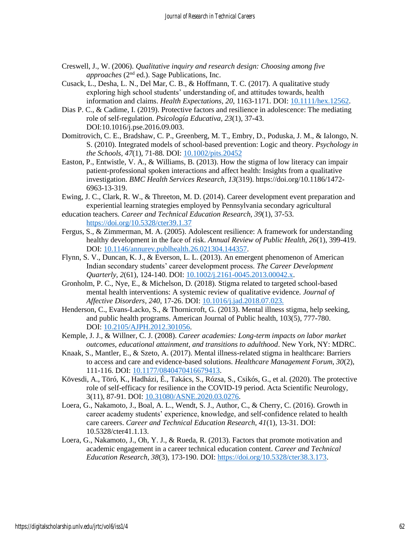- Creswell, J., W. (2006). *Qualitative inquiry and research design: Choosing among five approaches* (2nd ed.). Sage Publications, Inc.
- Cusack, L., Desha, L. N., Del Mar, C. B., & Hoffmann, T. C. (2017). A qualitative study exploring high school students' understanding of, and attitudes towards, health information and claims. *Health Expectations, 20*, 1163-1171. DOI: [10.1111/hex.12562.](https://doi.org/10.1111/hex.12562)
- Dias P. C., & Cadime, I. (2019). Protective factors and resilience in adolescence: The mediating role of self-regulation. *Psicología Educativa, 23*(1), 37-43. DOI:10.1016/j.pse.2016.09.003.
- Domitrovich, C. E., Bradshaw, C. P., Greenberg, M. T., Embry, D., Poduska, J. M., & Ialongo, N. S. (2010). Integrated models of school-based prevention: Logic and theory. *Psychology in the Schools, 47*(1), 71-88. DOI: [10.1002/pits.20452](https://doi.org/10.1002/pits.20452)
- Easton, P., Entwistle, V. A., & Williams, B. (2013). How the stigma of low literacy can impair patient-professional spoken interactions and affect health: Insights from a qualitative investigation. *BMC Health Services Research, 13*(319). https://doi.org/10.1186/1472- 6963-13-319.
- Ewing, J. C., Clark, R. W., & Threeton, M. D. (2014). Career development event preparation and experiential learning strategies employed by Pennsylvania secondary agricultural
- education teachers. *Career and Technical Education Research, 39*(1), 37-53. <https://doi.org/10.5328/cter39.1.37>
- Fergus, S., & Zimmerman, M. A. (2005). Adolescent resilience: A framework for understanding healthy development in the face of risk. *Annual Review of Public Health, 26*(1), 399-419. DOI: [10.1146/annurev.publhealth.26.021304.144357.](https://doi.org/10.1146/annurev.publhealth.26.021304.144357)
- Flynn, S. V., Duncan, K. J., & Everson, L. L. (2013). An emergent phenomenon of American Indian secondary students' career development process. *The Career Development Quarterly, 2*(61), 124-140. DOI: [10.1002/j.2161-0045.2013.00042.x.](http://dx.doi.org/10.1002/j.2161-0045.2013.00042.x)
- Gronholm, P. C., Nye, E., & Michelson, D. (2018). Stigma related to targeted school-based mental health interventions: A systemic review of qualitative evidence*. Journal of Affective Disorders, 240*, 17-26. DOI: [10.1016/j.jad.2018.07.023.](https://doi.org/10.1016/j.jad.2018.07.023)
- Henderson, C., Evans-Lacko, S., & Thornicroft, G. (2013). Mental illness stigma, help seeking, and public health programs. American Journal of Public health, 103(5), 777-780. DOI: [10.2105/AJPH.2012.301056.](https://dx.doi.org/10.2105%2FAJPH.2012.301056)
- Kemple, J. J., & Willner, C. J. (2008). *Career academies: Long-term impacts on labor market outcomes, educational attainment, and transitions to adulthood*. New York, NY: MDRC.
- Knaak, S., Mantler, E., & Szeto, A. (2017). Mental illness-related stigma in healthcare: Barriers to access and care and evidence-based solutions. *Healthcare Management Forum, 30*(2), 111-116. DOI: [10.1177/0840470416679413.](https://dx.doi.org/10.1177%2F0840470416679413)
- Kövesdi, A., Töró, K., Hadházi, É., Takács, S., Rózsa, S., Csikós, G., et al. (2020). The protective role of self-efficacy for resilience in the COVID-19 period. Acta Scientific Neurology, 3(11), 87-91. DOI: [10.31080/ASNE.2020.03.0276.](http://dx.doi.org/10.31080/ASNE.2020.03.0276)
- Loera, G., Nakamoto, J., Boal, A. L., Wendt, S. J., Author, C., & Cherry, C. (2016). Growth in career academy students' experience, knowledge, and self-confidence related to health care careers. *Career and Technical Education Research, 41*(1), 13-31. DOI: 10.5328/cter41.1.13.
- Loera, G., Nakamoto, J., Oh, Y. J., & Rueda, R. (2013). Factors that promote motivation and academic engagement in a career technical education content. *Career and Technical Education Research, 38*(3), 173-190. DOI: [https://doi.org/10.5328/cter38.3.173.](https://doi.org/10.5328/cter38.3.173)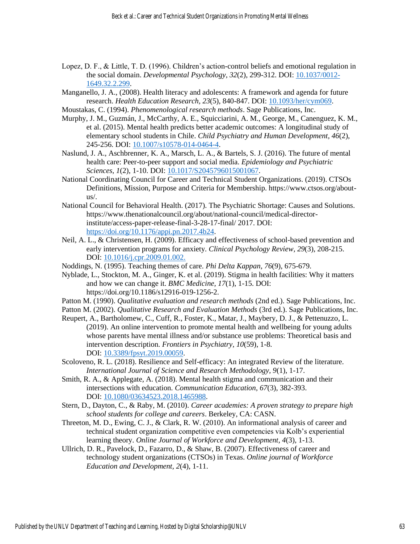- Lopez, D. F., & Little, T. D. (1996). Children's action-control beliefs and emotional regulation in the social domain. *Developmental Psychology, 32*(2), 299-312. DOI: [10.1037/0012-](http://dx.doi.org/10.1037/0012-1649.32.2.299) [1649.32.2.299.](http://dx.doi.org/10.1037/0012-1649.32.2.299)
- Manganello, J. A., (2008). Health literacy and adolescents: A framework and agenda for future research. *Health Education Research, 23*(5), 840-847. DOI: [10.1093/her/cym069.](https://doi.org/10.1093/her/cym069)
- Moustakas, C. (1994). *Phenomenological research methods*. Sage Publications, Inc. Murphy, J. M., Guzmán, J., McCarthy, A. E., Squicciarini, A. M., George, M., Canenguez, K. M.,
- et al. (2015). Mental health predicts better academic outcomes: A longitudinal study of elementary school students in Chile. *Child Psychiatry and Human Development, 46*(2), 245-256. DOI: [10.1007/s10578-014-0464-4.](https://doi.org/10.1007/s10578-014-0464-4)
- Naslund, J. A., Aschbrenner, K. A., Marsch, L. A., & Bartels, S. J. (2016). The future of mental health care: Peer-to-peer support and social media. *Epidemiology and Psychiatric Sciences, 1*(2), 1-10. DOI: [10.1017/S2045796015001067.](https://doi.org/10.1017/s2045796015001067)
- National Coordinating Council for Career and Technical Student Organizations. (2019). CTSOs Definitions, Mission, Purpose and Criteria for Membership. https://www.ctsos.org/aboutus/.
- National Council for Behavioral Health. (2017). The Psychiatric Shortage: Causes and Solutions. https://www.thenationalcouncil.org/about/national-council/medical-directorinstitute/access-paper-release-final-3-28-17-final/ 2017. DOI: [https://doi.org/10.1176/appi.pn.2017.4b24.](https://doi.org/10.1176/appi.pn.2017.4b24)
- Neil, A. L., & Christensen, H. (2009). Efficacy and effectiveness of school-based prevention and early intervention programs for anxiety. *Clinical Psychology Review, 29*(3), 208-215. DOI: [10.1016/j.cpr.2009.01.002.](https://doi.org/10.1016/j.cpr.2009.01.002)
- Noddings, N. (1995). Teaching themes of care. *Phi Delta Kappan*, *76*(9), 675-679.
- Nyblade, L., Stockton, M. A., Ginger, K. et al. (2019). Stigma in health facilities: Why it matters and how we can change it. *BMC Medicine, 17*(1), 1-15. DOI: https://doi.org/10.1186/s12916-019-1256-2.
- Patton M. (1990). *Qualitative evaluation and research methods* (2nd ed.). Sage Publications, Inc.
- Patton M. (2002). *Qualitative Research and Evaluation Methods* (3rd ed.). Sage Publications, Inc.
- Reupert, A., Bartholomew, C., Cuff, R., Foster, K., Matar, J., Maybery, D. J., & Pettenuzzo, L. (2019). An online intervention to promote mental health and wellbeing for young adults whose parents have mental illness and/or substance use problems: Theoretical basis and intervention description. *Frontiers in Psychiatry, 10*(59), 1-8. DOI: [10.3389/fpsyt.2019.00059.](https://dx.doi.org/10.3389%2Ffpsyt.2019.00059)
- Scoloveno, R. L. (2018). Resilience and Self-efficacy: An integrated Review of the literature. *International Journal of Science and Research Methodology, 9*(1), 1-17.
- Smith, R. A., & Applegate, A. (2018). Mental health stigma and communication and their intersections with education. *Communication Education, 67*(3), 382-393. DOI: [10.1080/03634523.2018.1465988.](https://dx.doi.org/10.1080%2F03634523.2018.1465988)
- Stern, D., Dayton, C., & Raby, M. (2010). *Career academies: A proven strategy to prepare high school students for college and careers*. Berkeley, CA: CASN.
- Threeton, M. D., Ewing, C. J., & Clark, R. W. (2010). An informational analysis of career and technical student organization competitive even competencies via Kolb's experiential learning theory. *Online Journal of Workforce and Development, 4*(3), 1-13.
- Ullrich, D. R., Pavelock, D., Fazarro, D., & Shaw, B. (2007). Effectiveness of career and technology student organizations (CTSOs) in Texas. *Online journal of Workforce Education and Development, 2*(4), 1-11.